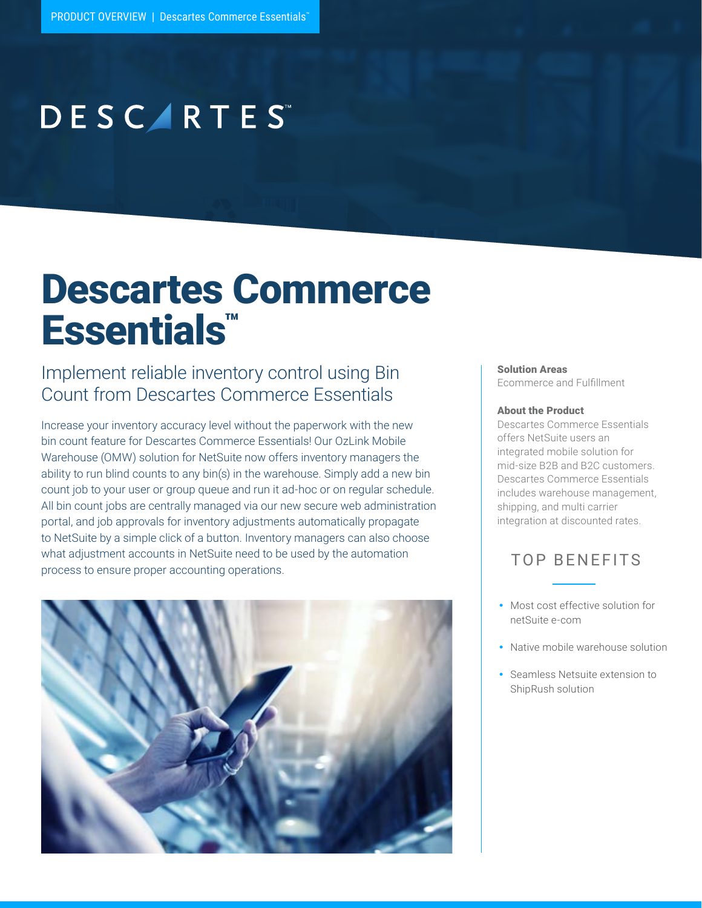# **DESCARTES**

# Descartes Commerce Essentials™

### Implement reliable inventory control using Bin Count from Descartes Commerce Essentials

Increase your inventory accuracy level without the paperwork with the new bin count feature for Descartes Commerce Essentials! Our OzLink Mobile Warehouse (OMW) solution for NetSuite now offers inventory managers the ability to run blind counts to any bin(s) in the warehouse. Simply add a new bin count job to your user or group queue and run it ad-hoc or on regular schedule. All bin count jobs are centrally managed via our new secure web administration portal, and job approvals for inventory adjustments automatically propagate to NetSuite by a simple click of a button. Inventory managers can also choose what adjustment accounts in NetSuite need to be used by the automation process to ensure proper accounting operations.



#### Solution Areas

Ecommerce and Fulfillment

#### About the Product

Descartes Commerce Essentials offers NetSuite users an integrated mobile solution for mid-size B2B and B2C customers. Descartes Commerce Essentials includes warehouse management, shipping, and multi carrier integration at discounted rates.

### TOP BENEFITS

- Most cost effective solution for netSuite e-com
- Native mobile warehouse solution
- Seamless Netsuite extension to ShipRush solution